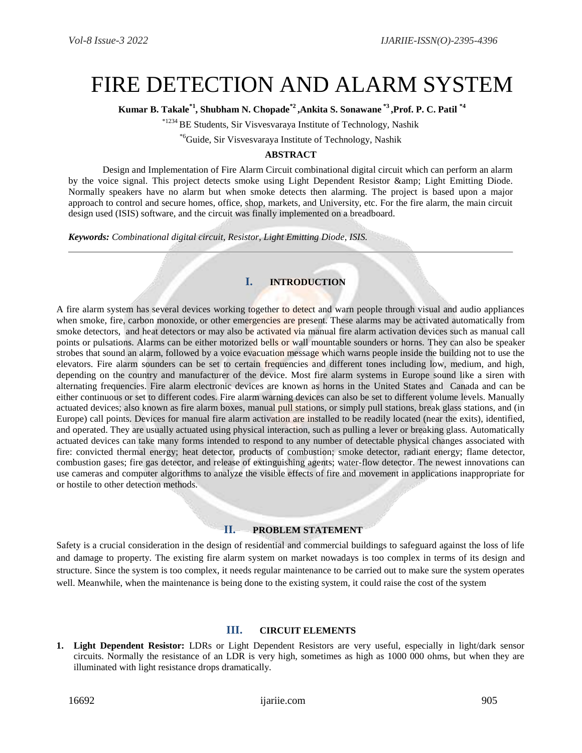# FIRE DETECTION AND ALARM SYSTEM

**Kumar B. Takale\*1, Shubham N. Chopade\*2 ,Ankita S. Sonawane \*3 ,Prof. P. C. Patil \*4**

\*1234 BE Students, Sir Visvesvaraya Institute of Technology, Nashik

\*6Guide, Sir Visvesvaraya Institute of Technology, Nashik

#### **ABSTRACT**

Design and Implementation of Fire Alarm Circuit combinational digital circuit which can perform an alarm by the voice signal. This project detects smoke using Light Dependent Resistor & amp; Light Emitting Diode. Normally speakers have no alarm but when smoke detects then alarming. The project is based upon a major approach to control and secure homes, office, shop, markets, and University, etc. For the fire alarm, the main circuit design used (ISIS) software, and the circuit was finally implemented on a breadboard.

*Keywords: Combinational digital circuit, Resistor, Light Emitting Diode, ISIS.*

## **I. INTRODUCTION**

A fire alarm system has several devices working together to detect and warn people through visual and audio appliances when [smoke,](https://en.wikipedia.org/wiki/Smoke) [fire,](https://en.wikipedia.org/wiki/Fire) [carbon m](https://en.wikipedia.org/wiki/Fire)onoxide, or other [emergencies](https://en.wikipedia.org/wiki/Emergency) are present. These alarms may be activated automatically from [smoke detectors,](https://en.wikipedia.org/wiki/Smoke_detector) and [heat detectors](https://en.wikipedia.org/wiki/Heat_detector) or may also be activated via [manual fire alarm activation](https://en.wikipedia.org/wiki/Manual_fire_alarm_activation) devices such as manual call points or pulsations. Alarms can be either motorized bells or wall mountable sounders or horns. They can also be [speaker](https://en.wikipedia.org/w/index.php?title=Speaker_strobe&action=edit&redlink=1)  [strobes](https://en.wikipedia.org/w/index.php?title=Speaker_strobe&action=edit&redlink=1) that sound an alarm, followed by a voice evacuation message which warns people inside the building not to use the [elevators.](https://en.wikipedia.org/wiki/Elevator) Fire alarm sounders can be set to certain frequencies and different tones including low, medium, and high, depending on the country and manufacturer of the device. Most fire alarm systems in [Europe](https://en.wikipedia.org/wiki/Europe) sound like a siren with alternating frequencies. Fire alarm electronic devices are known as horns in the [United States](https://en.wikipedia.org/wiki/United_States) and [Canada](https://en.wikipedia.org/wiki/Canada) and can be either continuous or set to different codes. Fire alarm warning devices can also be set to different volume levels. Manually actuated devices; also known as [fire alarm boxes,](https://en.wikipedia.org/wiki/Fire_alarm_box) manual pull stations, or simply pull stations, break glass stations, and (in Europe) call points. Devices for [manual fire alarm activation](https://en.wikipedia.org/wiki/Manual_fire_alarm_activation) are installed to be readily located (near the exits), identified, and operated. They are usually actuated using physical interaction, such as pulling a lever or breaking glass. Automatically actuated devices can take many forms intended to respond to any number of detectable physical changes associated with fire: convicted thermal energy; [heat detector,](https://en.wikipedia.org/wiki/Heat_detector) products of combustion; [smoke detector,](https://en.wikipedia.org/wiki/Smoke_detector) radiant energy; [flame detector,](https://en.wikipedia.org/wiki/Flame_detector) combustion gases; [fire gas detector,](https://en.wikipedia.org/wiki/Fire_gas_detector) and release of extinguishing agents; water-flow detector. The newest innovations can use cameras and computer algorithms to analyze the visible effects of fire and movement in applications inappropriate for or hostile to other detection methods.

## **II. PROBLEM STATEMENT**

Safety is a crucial consideration in the design of residential and commercial buildings to safeguard against the loss of life and damage to property. The existing fire alarm system on market nowadays is too complex in terms of its design and structure. Since the system is too complex, it needs regular maintenance to be carried out to make sure the system operates well. Meanwhile, when the maintenance is being done to the existing system, it could raise the cost of the system

#### **III. CIRCUIT ELEMENTS**

**1. Light Dependent Resistor:** LDRs or Light Dependent Resistors are very useful, especially in light/dark sensor circuits. Normally the resistance of an LDR is very high, sometimes as high as 1000 000 ohms, but when they are illuminated with light resistance drops dramatically.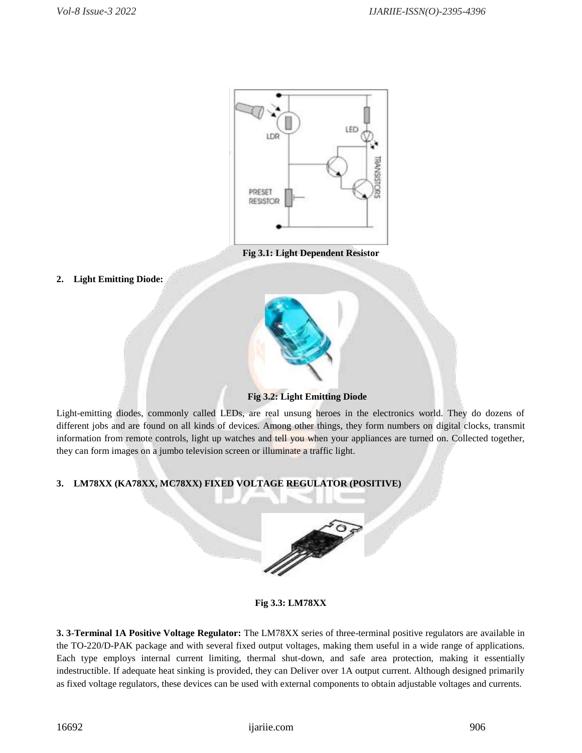

 **Fig 3.1: Light Dependent Resistor**

**2. Light Emitting Diode:**



 **Fig 3.2: Light Emitting Diode**

Light-emitting diodes, commonly called LEDs, are real unsung heroes in the electronics world. They do dozens of different jobs and are found on all kinds of devices. Among other things, they form numbers on [digital clocks,](http://www.howstuffworks.com/digital-clock.htm) transmit information from [remote controls, l](http://electronics.howstuffworks.com/inside-rc.htm)ight up watches and tell you when your appliances are turned on. Collected together, they can form images on a [jumbo television screen o](http://electronics.howstuffworks.com/jumbo-tv2.htm)r [illuminate a traffic light.](http://www.howstuffworks.com/question178.htm)

# **3. LM78XX (KA78XX, MC78XX) FIXED VOLTAGE REGULATOR (POSITIVE)**



**Fig 3.3: LM78XX**

**3. 3-Terminal 1A Positive Voltage Regulator:** The LM78XX series of three-terminal positive regulators are available in the TO-220/D-PAK package and with several fixed output voltages, making them useful in a wide range of applications. Each type employs internal current limiting, thermal shut-down, and safe area protection, making it essentially indestructible. If adequate heat sinking is provided, they can Deliver over 1A output current. Although designed primarily as fixed voltage regulators, these devices can be used with external components to obtain adjustable voltages and currents.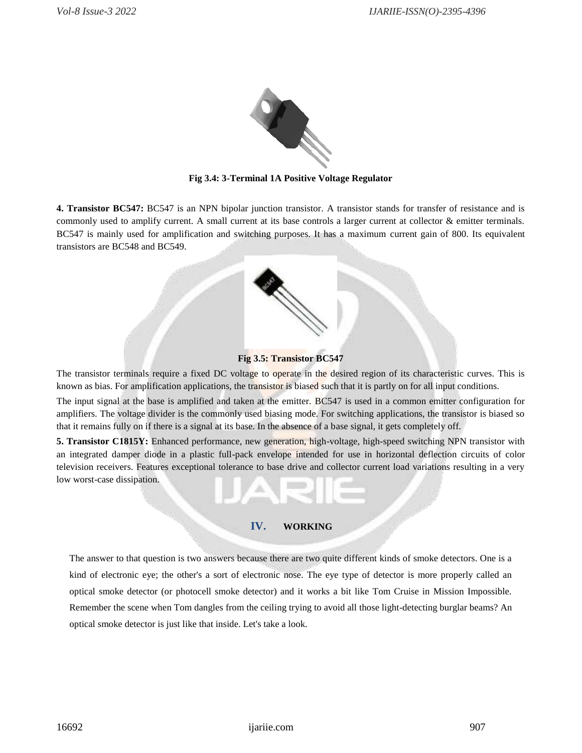

**Fig 3.4: 3-Terminal 1A Positive Voltage Regulator** 

**4. [Transistor BC547:](http://www.engineersgarage.com/electronic-components/transistor-bc547-datasheet)** BC547 is an NPN bipolar junction transistor. A transistor stands for transfer of resistance and is commonly used to amplify current. A small current at its base controls a larger current at collector & emitter terminals. BC547 is mainly used for amplification and switching purposes. It has a maximum current gain of 800. Its equivalent transistors are BC548 and BC549.

## **Fig 3.5: [Transistor BC547](http://www.engineersgarage.com/electronic-components/transistor-bc547-datasheet)**

The transistor terminals require a fixed DC voltage to operate in the desired region of its characteristic curves. This is known as bias. For amplification applications, the transistor is biased such that it is partly on for all input conditions.

The input signal at the base is amplified and taken at the emitter. BC547 is used in a common emitter configuration for amplifiers. The voltage divider is the commonly used biasing mode. For switching applications, the transistor is biased so that it remains fully on if there is a signal at its base. In the absence of a base signal, it gets completely off.

**5. Transistor C1815Y:** Enhanced performance, new generation, high-voltage, high-speed switching NPN transistor with an integrated damper diode in a plastic full-pack envelope intended for use in horizontal deflection circuits of color television receivers. Features exceptional tolerance to base drive and collector current load variations resulting in a very low worst-case dissipation.

#### **IV. WORKING**

The answer to that question is two answers because there are two quite different kinds of smoke detectors. One is a kind of [electronic e](http://www.explainthatstuff.com/electronics.html)ye; the other's a sort of electronic nose. The eye type of detector is more properly called an optical smoke detector (or photocell smoke detector) and it works a bit like Tom Cruise in Mission Impossible. Remember the scene when Tom dangles from the ceiling trying to avoid all those light-detecting burglar beams? An optical smoke detector is just like that inside. Let's take a look.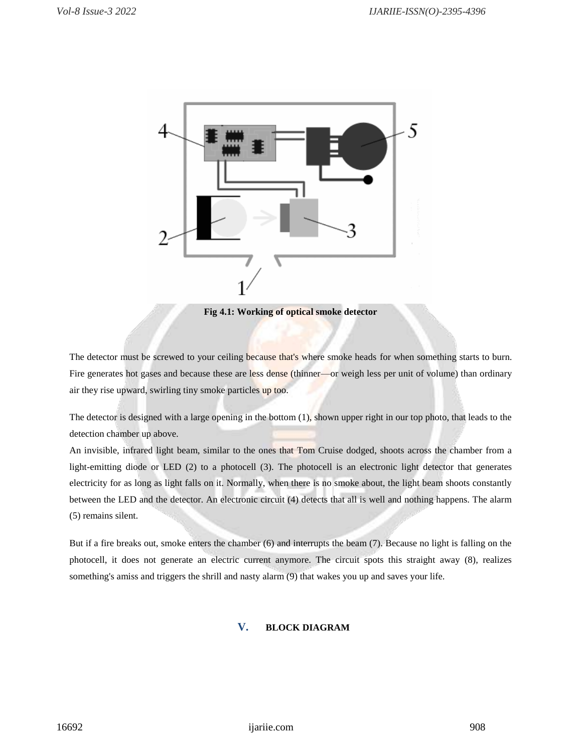

**Fig 4.1: Working of optical smoke detector**

The detector must be screwed to your ceiling because that's where smoke heads for when something starts to burn. Fire generates hot gases and because these are less dense (thinner—or weigh less per unit of volume) than ordinary air they rise upward, swirling tiny smoke particles up too.

The detector is designed with a large opening in the bottom (1), shown upper right in our top photo, that leads to the detection chamber up above.

An invisible, [infrared light b](http://www.explainthatstuff.com/electromagnetic-spectrum.html)eam, similar to the ones that Tom Cruise dodged, shoots across the chamber from a light-emitting diode or LED (2) to a [photocell \(](http://www.explainthatstuff.com/how-photoelectric-cells-work.html)3). The photocell is an electronic light detector that generates [electricity f](http://www.explainthatstuff.com/electricity.html)or as long as light falls on it. Normally, when there is no smoke about, the light beam shoots constantly between the LED and the detector. An electronic circuit (4) detects that all is well and nothing happens. The alarm (5) remains silent.

But if a fire breaks out, smoke enters the chamber (6) and interrupts the beam (7). Because no light is falling on the photocell, it does not generate an electric current anymore. The circuit spots this straight away (8), realizes something's amiss and triggers the shrill and nasty alarm (9) that wakes you up and saves your life.

# **V. BLOCK DIAGRAM**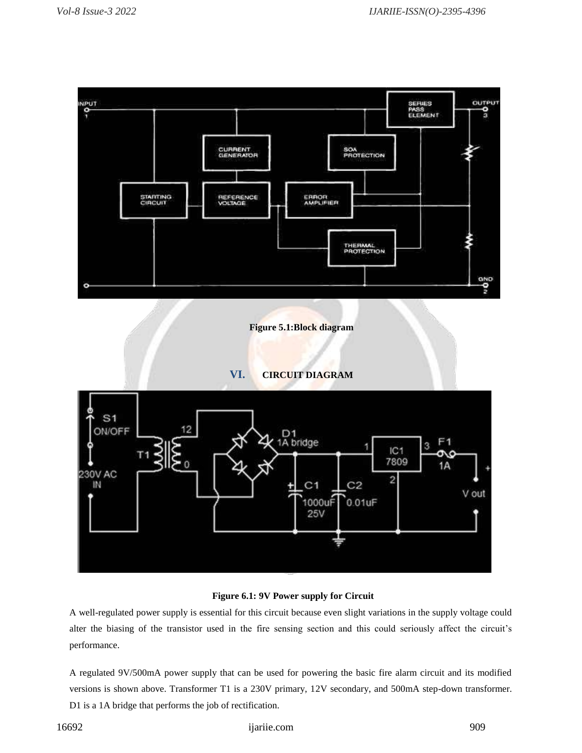

### **Figure 6.1: 9V Power supply for Circuit**

A well-regulated power supply is essential for this circuit because even slight variations in the supply voltage could alter the biasing of the transistor used in the fire sensing section and this could seriously affect the circuit's performance.

A regulated 9V/500mA power supply that can be used for powering the basic fire alarm circuit and its modified versions is shown above. Transformer T1 is a 230V primary, 12V secondary, and 500mA step-down transformer. D1 is a 1A bridge that performs the job of rectification.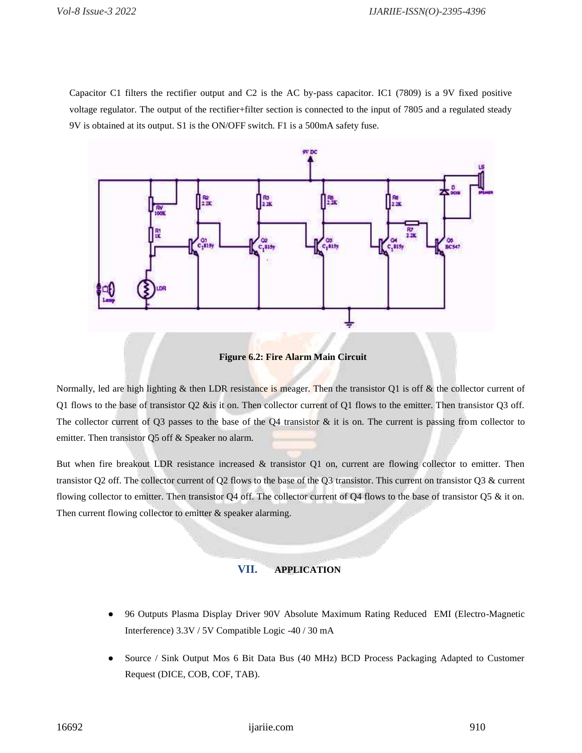Capacitor C1 filters the rectifier output and C2 is the AC by-pass capacitor. IC1 (7809) is a 9V fixed positive voltage regulator. The output of the rectifier+filter section is connected to the input of 7805 and a regulated steady 9V is obtained at its output. S1 is the ON/OFF switch. F1 is a 500mA safety fuse.



 **Figure 6.2: Fire Alarm Main Circuit**

Normally, led are high lighting  $\&$  then LDR resistance is meager. Then the transistor Q1 is off  $\&$  the collector current of Q1 flows to the base of transistor Q2 &is it on. Then collector current of Q1 flows to the emitter. Then transistor Q3 off. The collector current of Q3 passes to the base of the Q4 transistor  $\&$  it is on. The current is passing from collector to emitter. Then transistor Q5 off & Speaker no alarm.

But when fire breakout LDR resistance increased & transistor Q1 on, current are flowing collector to emitter. Then transistor Q2 off. The collector current of Q2 flows to the base of the Q3 transistor. This current on transistor Q3 & current flowing collector to emitter. Then transistor Q4 off. The collector current of Q4 flows to the base of transistor Q5  $\&$  it on. Then current flowing collector to emitter & speaker alarming.

# **VII. APPLICATION**

- 96 Outputs Plasma Display Driver 90V Absolute Maximum Rating Reduced EMI (Electro-Magnetic Interference) 3.3V / 5V Compatible Logic -40 / 30 mA
- Source / Sink Output Mos 6 Bit Data Bus (40 MHz) BCD Process Packaging Adapted to Customer Request (DICE, COB, COF, TAB).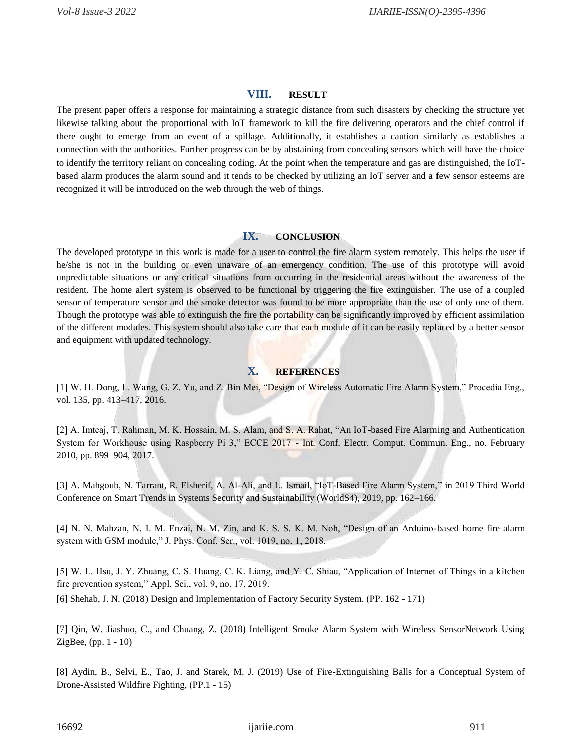#### **VIII. RESULT**

The present paper offers a response for maintaining a strategic distance from such disasters by checking the structure yet likewise talking about the proportional with IoT framework to kill the fire delivering operators and the chief control if there ought to emerge from an event of a spillage. Additionally, it establishes a caution similarly as establishes a connection with the authorities. Further progress can be by abstaining from concealing sensors which will have the choice to identify the territory reliant on concealing coding. At the point when the temperature and gas are distinguished, the IoTbased alarm produces the alarm sound and it tends to be checked by utilizing an IoT server and a few sensor esteems are recognized it will be introduced on the web through the web of things.

#### **IX. CONCLUSION**

The developed prototype in this work is made for a user to control the fire alarm system remotely. This helps the user if he/she is not in the building or even unaware of an emergency condition. The use of this prototype will avoid unpredictable situations or any critical situations from occurring in the residential areas without the awareness of the resident. The home alert system is observed to be functional by triggering the fire extinguisher. The use of a coupled sensor of temperature sensor and the smoke detector was found to be more appropriate than the use of only one of them. Though the prototype was able to extinguish the fire the portability can be significantly improved by efficient assimilation of the different modules. This system should also take care that each module of it can be easily replaced by a better sensor and equipment with updated technology.

# **X. REFERENCES**

[1] W. H. Dong, L. Wang, G. Z. Yu, and Z. Bin Mei, "Design of Wireless Automatic Fire Alarm System," Procedia Eng., vol. 135, pp. 413–417, 2016.

[2] A. Imteaj, T. Rahman, M. K. Hossain, M. S. Alam, and S. A. Rahat, "An IoT-based Fire Alarming and Authentication System for Workhouse using Raspberry Pi 3," ECCE 2017 - Int. Conf. Electr. Comput. Commun. Eng., no. February 2010, pp. 899–904, 2017.

[3] A. Mahgoub, N. Tarrant, R. Elsherif, A. Al-Ali, and L. Ismail, "IoT-Based Fire Alarm System," in 2019 Third World Conference on Smart Trends in Systems Security and Sustainability (WorldS4), 2019, pp. 162–166.

[4] N. N. Mahzan, N. I. M. Enzai, N. M. Zin, and K. S. S. K. M. Noh, "Design of an Arduino-based home fire alarm system with GSM module," J. Phys. Conf. Ser., vol. 1019, no. 1, 2018.

[5] W. L. Hsu, J. Y. Zhuang, C. S. Huang, C. K. Liang, and Y. C. Shiau, "Application of Internet of Things in a kitchen fire prevention system," Appl. Sci., vol. 9, no. 17, 2019.

[6] Shehab, J. N. (2018) Design and Implementation of Factory Security System. (PP. 162 - 171)

[7] Qin, W. Jiashuo, C., and Chuang, Z. (2018) Intelligent Smoke Alarm System with Wireless SensorNetwork Using ZigBee, (pp. 1 - 10)

[8] Aydin, B., Selvi, E., Tao, J. and Starek, M. J. (2019) Use of Fire-Extinguishing Balls for a Conceptual System of Drone-Assisted Wildfire Fighting, (PP.1 - 15)